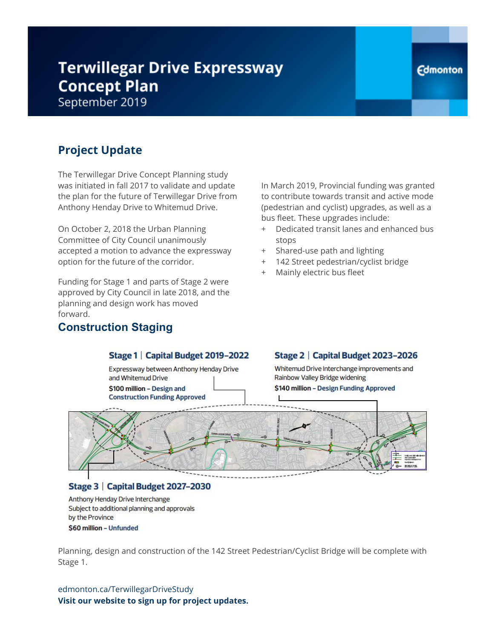# **Terwillegar Drive Expressway Concept Plan**

September 2019

# **Project Update**

The Terwillegar Drive Concept Planning study was initiated in fall 2017 to validate and update the plan for the future of Terwillegar Drive from Anthony Henday Drive to Whitemud Drive.

On October 2, 2018 the Urban Planning Committee of City Council unanimously accepted a motion to advance the expressway option for the future of the corridor.

Funding for Stage 1 and parts of Stage 2 were approved by City Council in late 2018, and the planning and design work has moved forward.

### **Construction Staging**

In March 2019, Provincial funding was granted to contribute towards transit and active mode (pedestrian and cyclist) upgrades, as well as a bus fleet. These upgrades include:

- + Dedicated transit lanes and enhanced bus stops
- + Shared-use path and lighting
- 142 Street pedestrian/cyclist bridge
- + Mainly electric bus fleet

#### Stage 1 | Capital Budget 2019-2022

Expressway between Anthony Henday Drive and Whitemud Drive \$100 million - Design and

### Stage 2 | Capital Budget 2023-2026

Whitemud Drive Interchange improvements and Rainbow Valley Bridge widening

\$140 million - Design Funding Approved



#### Stage 3 | Capital Budget 2027-2030

Anthony Henday Drive Interchange Subject to additional planning and approvals by the Province \$60 million - Unfunded

Planning, design and construction of the 142 Street Pedestrian/Cyclist Bridge will be complete with Stage 1.

edmonton.ca/TerwillegarDriveStudy **Visit our website to sign up for project updates.**

### **Edmonton**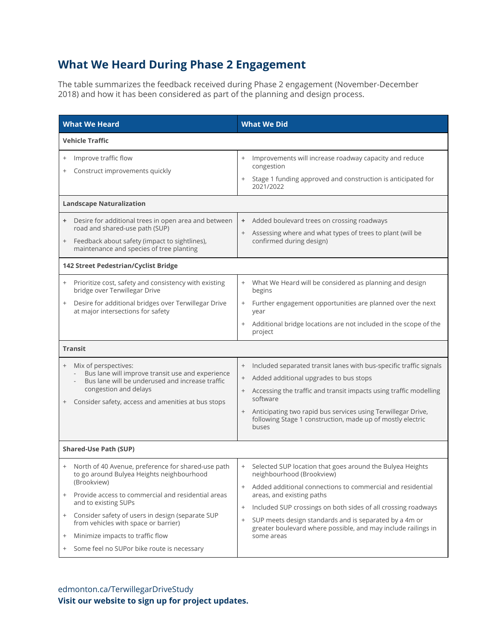### **What We Heard During Phase 2 Engagement**

The table summarizes the feedback received during Phase 2 engagement (November-December 2018) and how it has been considered as part of the planning and design process.

| <b>What We Heard</b>                                                                                                                                                                                                                                                                                                                                                                                                                                        | <b>What We Did</b>                                                                                                                                                                                                                                                                                                                                                                                                                                                                                                                                                                                                                                   |  |
|-------------------------------------------------------------------------------------------------------------------------------------------------------------------------------------------------------------------------------------------------------------------------------------------------------------------------------------------------------------------------------------------------------------------------------------------------------------|------------------------------------------------------------------------------------------------------------------------------------------------------------------------------------------------------------------------------------------------------------------------------------------------------------------------------------------------------------------------------------------------------------------------------------------------------------------------------------------------------------------------------------------------------------------------------------------------------------------------------------------------------|--|
| <b>Vehicle Traffic</b>                                                                                                                                                                                                                                                                                                                                                                                                                                      |                                                                                                                                                                                                                                                                                                                                                                                                                                                                                                                                                                                                                                                      |  |
| Improve traffic flow<br>$^{+}$<br>Construct improvements quickly                                                                                                                                                                                                                                                                                                                                                                                            | Improvements will increase roadway capacity and reduce<br>$^{+}$<br>congestion<br>Stage 1 funding approved and construction is anticipated for<br>$^{+}$<br>2021/2022                                                                                                                                                                                                                                                                                                                                                                                                                                                                                |  |
| <b>Landscape Naturalization</b>                                                                                                                                                                                                                                                                                                                                                                                                                             |                                                                                                                                                                                                                                                                                                                                                                                                                                                                                                                                                                                                                                                      |  |
| Desire for additional trees in open area and between<br>road and shared-use path (SUP)<br>Feedback about safety (impact to sightlines),<br>$+$<br>maintenance and species of tree planting                                                                                                                                                                                                                                                                  | Added boulevard trees on crossing roadways<br>+<br>Assessing where and what types of trees to plant (will be<br>$^{+}$<br>confirmed during design)                                                                                                                                                                                                                                                                                                                                                                                                                                                                                                   |  |
| 142 Street Pedestrian/Cyclist Bridge                                                                                                                                                                                                                                                                                                                                                                                                                        |                                                                                                                                                                                                                                                                                                                                                                                                                                                                                                                                                                                                                                                      |  |
| Prioritize cost, safety and consistency with existing<br>$^{+}$<br>bridge over Terwillegar Drive<br>Desire for additional bridges over Terwillegar Drive<br>$^{+}$<br>at major intersections for safety<br><b>Transit</b><br>Mix of perspectives:<br>$^{+}$<br>Bus lane will improve transit use and experience<br>Bus lane will be underused and increase traffic<br>congestion and delays<br>Consider safety, access and amenities at bus stops<br>$^{+}$ | What We Heard will be considered as planning and design<br>$^{+}$<br>begins<br>Further engagement opportunities are planned over the next<br>$^{+}$<br>year<br>Additional bridge locations are not included in the scope of the<br>$^{+}$<br>project<br>Included separated transit lanes with bus-specific traffic signals<br>$^{+}$<br>Added additional upgrades to bus stops<br>$^{+}$<br>Accessing the traffic and transit impacts using traffic modelling<br>$\begin{array}{c} + \end{array}$<br>software<br>Anticipating two rapid bus services using Terwillegar Drive,<br>following Stage 1 construction, made up of mostly electric<br>buses |  |
| <b>Shared-Use Path (SUP)</b>                                                                                                                                                                                                                                                                                                                                                                                                                                |                                                                                                                                                                                                                                                                                                                                                                                                                                                                                                                                                                                                                                                      |  |
| North of 40 Avenue, preference for shared-use path<br>to go around Bulyea Heights neighbourhood<br>(Brookview)<br>Provide access to commercial and residential areas<br>and to existing SUPs<br>Consider safety of users in design (separate SUP<br>$^{+}$<br>from vehicles with space or barrier)<br>Minimize impacts to traffic flow<br>$^{+}$                                                                                                            | Selected SUP location that goes around the Bulyea Heights<br>$^{+}$<br>neighbourhood (Brookview)<br>Added additional connections to commercial and residential<br>areas, and existing paths<br>Included SUP crossings on both sides of all crossing roadways<br>$^{+}$<br>SUP meets design standards and is separated by a 4m or<br>greater boulevard where possible, and may include railings in<br>some areas                                                                                                                                                                                                                                      |  |
| Some feel no SUPor bike route is necessary<br>$^{+}$                                                                                                                                                                                                                                                                                                                                                                                                        |                                                                                                                                                                                                                                                                                                                                                                                                                                                                                                                                                                                                                                                      |  |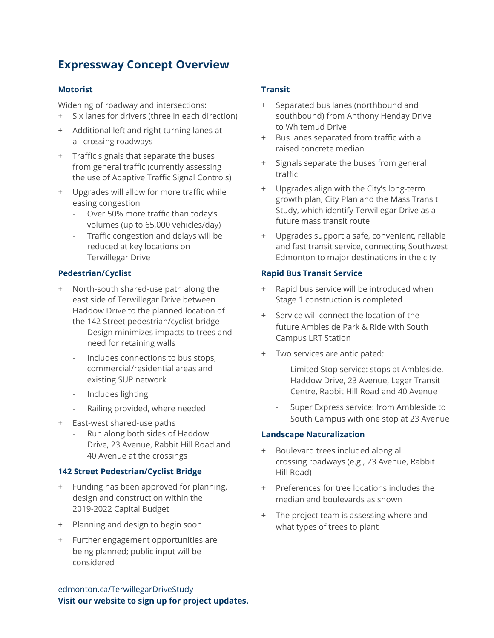### **Expressway Concept Overview**

#### **Motorist**

Widening of roadway and intersections:

- + Six lanes for drivers (three in each direction)
- + Additional left and right turning lanes at all crossing roadways
- + Traffic signals that separate the buses from general traffic (currently assessing the use of Adaptive Traffic Signal Controls)
- + Upgrades will allow for more traffic while easing congestion
	- Over 50% more traffic than today's volumes (up to 65,000 vehicles/day)
	- Traffic congestion and delays will be reduced at key locations on Terwillegar Drive

#### **Pedestrian/Cyclist**

- + North-south shared-use path along the east side of Terwillegar Drive between Haddow Drive to the planned location of the 142 Street pedestrian/cyclist bridge
	- Design minimizes impacts to trees and need for retaining walls
	- Includes connections to bus stops, commercial/residential areas and existing SUP network
	- Includes lighting
	- Railing provided, where needed
- + East-west shared-use paths
	- Run along both sides of Haddow Drive, 23 Avenue, Rabbit Hill Road and 40 Avenue at the crossings

#### **142 Street Pedestrian/Cyclist Bridge**

- + Funding has been approved for planning, design and construction within the 2019-2022 Capital Budget
- + Planning and design to begin soon
- + Further engagement opportunities are being planned; public input will be considered

#### **Transit**

- + Separated bus lanes (northbound and southbound) from Anthony Henday Drive to Whitemud Drive
- + Bus lanes separated from traffic with a raised concrete median
- + Signals separate the buses from general traffic
- + Upgrades align with the City's long-term growth plan, City Plan and the Mass Transit Study, which identify Terwillegar Drive as a future mass transit route
- + Upgrades support a safe, convenient, reliable and fast transit service, connecting Southwest Edmonton to major destinations in the city

#### **Rapid Bus Transit Service**

- + Rapid bus service will be introduced when Stage 1 construction is completed
- Service will connect the location of the future Ambleside Park & Ride with South Campus LRT Station
- + Two services are anticipated:
	- Limited Stop service: stops at Ambleside, Haddow Drive, 23 Avenue, Leger Transit Centre, Rabbit Hill Road and 40 Avenue
	- Super Express service: from Ambleside to South Campus with one stop at 23 Avenue

#### **Landscape Naturalization**

- + Boulevard trees included along all crossing roadways (e.g., 23 Avenue, Rabbit Hill Road)
- + Preferences for tree locations includes the median and boulevards as shown
- + The project team is assessing where and what types of trees to plant

edmonton.ca/TerwillegarDriveStudy **Visit our website to sign up for project updates.**